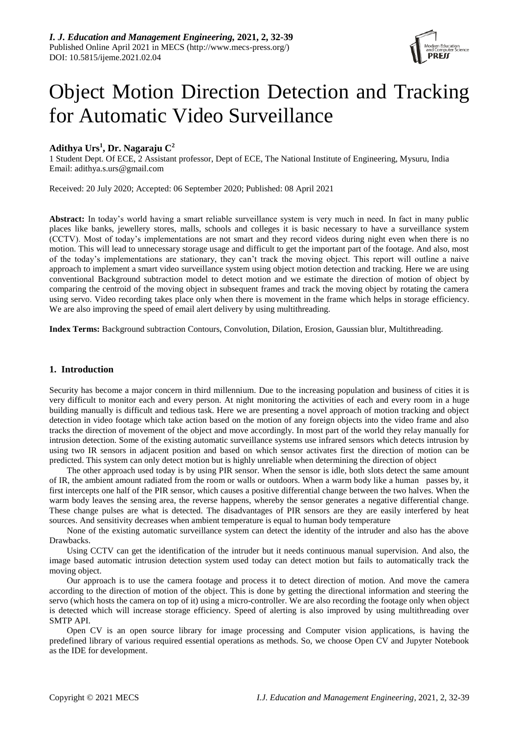

# Object Motion Direction Detection and Tracking for Automatic Video Surveillance

# **Adithya Urs<sup>1</sup> , Dr. Nagaraju C<sup>2</sup>**

1 Student Dept. Of ECE, 2 Assistant professor, Dept of ECE, The National Institute of Engineering, Mysuru, India Email: adithya.s.urs@gmail.com

Received: 20 July 2020; Accepted: 06 September 2020; Published: 08 April 2021

**Abstract:** In today's world having a smart reliable surveillance system is very much in need. In fact in many public places like banks, jewellery stores, malls, schools and colleges it is basic necessary to have a surveillance system (CCTV). Most of today's implementations are not smart and they record videos during night even when there is no motion. This will lead to unnecessary storage usage and difficult to get the important part of the footage. And also, most of the today's implementations are stationary, they can't track the moving object. This report will outline a naive approach to implement a smart video surveillance system using object motion detection and tracking. Here we are using conventional Background subtraction model to detect motion and we estimate the direction of motion of object by comparing the centroid of the moving object in subsequent frames and track the moving object by rotating the camera using servo. Video recording takes place only when there is movement in the frame which helps in storage efficiency. We are also improving the speed of email alert delivery by using multithreading.

**Index Terms:** Background subtraction Contours, Convolution, Dilation, Erosion, Gaussian blur, Multithreading.

# **1. Introduction**

Security has become a major concern in third millennium. Due to the increasing population and business of cities it is very difficult to monitor each and every person. At night monitoring the activities of each and every room in a huge building manually is difficult and tedious task. Here we are presenting a novel approach of motion tracking and object detection in video footage which take action based on the motion of any foreign objects into the video frame and also tracks the direction of movement of the object and move accordingly. In most part of the world they relay manually for intrusion detection. Some of the existing automatic surveillance systems use infrared sensors which detects intrusion by using two IR sensors in adjacent position and based on which sensor activates first the direction of motion can be predicted. This system can only detect motion but is highly unreliable when determining the direction of object

The other approach used today is by using PIR sensor. When the sensor is idle, both slots detect the same amount of IR, the ambient amount radiated from the room or walls or outdoors. When a warm body like a human passes by, it first intercepts one half of the PIR sensor, which causes a positive differential change between the two halves. When the warm body leaves the sensing area, the reverse happens, whereby the sensor generates a negative differential change. These change pulses are what is detected. The disadvantages of PIR sensors are they are easily interfered by heat sources. And sensitivity decreases when ambient temperature is equal to human body temperature

None of the existing automatic surveillance system can detect the identity of the intruder and also has the above Drawbacks.

Using CCTV can get the identification of the intruder but it needs continuous manual supervision. And also, the image based automatic intrusion detection system used today can detect motion but fails to automatically track the moving object.

Our approach is to use the camera footage and process it to detect direction of motion. And move the camera according to the direction of motion of the object. This is done by getting the directional information and steering the servo (which hosts the camera on top of it) using a micro-controller. We are also recording the footage only when object is detected which will increase storage efficiency. Speed of alerting is also improved by using multithreading over SMTP API.

Open CV is an open source library for image processing and Computer vision applications, is having the predefined library of various required essential operations as methods. So, we choose Open CV and Jupyter Notebook as the IDE for development.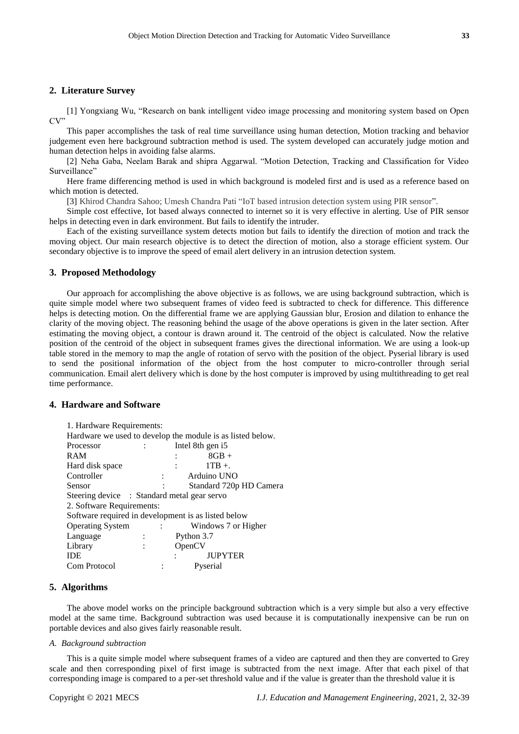# **2. Literature Survey**

[1] Yongxiang Wu, "Research on bank intelligent video image processing and monitoring system based on Open CV"

This paper accomplishes the task of real time surveillance using human detection, Motion tracking and behavior judgement even here background subtraction method is used. The system developed can accurately judge motion and human detection helps in avoiding false alarms.

[2] Neha Gaba, Neelam Barak and shipra Aggarwal. "Motion Detection, Tracking and Classification for Video Surveillance"

Here frame differencing method is used in which background is modeled first and is used as a reference based on which motion is detected.

[3] Khirod Chandra Sahoo; Umesh Chandra Pati "IoT based intrusion detection system using PIR sensor".

Simple cost effective, Iot based always connected to internet so it is very effective in alerting. Use of PIR sensor helps in detecting even in dark environment. But fails to identify the intruder.

Each of the existing surveillance system detects motion but fails to identify the direction of motion and track the moving object. Our main research objective is to detect the direction of motion, also a storage efficient system. Our secondary objective is to improve the speed of email alert delivery in an intrusion detection system.

#### **3. Proposed Methodology**

Our approach for accomplishing the above objective is as follows, we are using background subtraction, which is quite simple model where two subsequent frames of video feed is subtracted to check for difference. This difference helps is detecting motion. On the differential frame we are applying Gaussian blur, Erosion and dilation to enhance the clarity of the moving object. The reasoning behind the usage of the above operations is given in the later section. After estimating the moving object, a contour is drawn around it. The centroid of the object is calculated. Now the relative position of the centroid of the object in subsequent frames gives the directional information. We are using a look-up table stored in the memory to map the angle of rotation of servo with the position of the object. Pyserial library is used to send the positional information of the object from the host computer to micro-controller through serial communication. Email alert delivery which is done by the host computer is improved by using multithreading to get real time performance.

# **4. Hardware and Software**

| 1. Hardware Requirements:                   |                      |                   |                                                            |  |  |
|---------------------------------------------|----------------------|-------------------|------------------------------------------------------------|--|--|
|                                             |                      |                   | Hardware we used to develop the module is as listed below. |  |  |
| Processor                                   |                      |                   | Intel 8th gen i5                                           |  |  |
| <b>RAM</b>                                  |                      |                   | $8GB +$                                                    |  |  |
| Hard disk space                             |                      |                   | $1TB +$                                                    |  |  |
| Controller                                  |                      |                   | Arduino UNO                                                |  |  |
| Sensor                                      |                      |                   | Standard 720p HD Camera                                    |  |  |
| Steering device : Standard metal gear servo |                      |                   |                                                            |  |  |
| 2. Software Requirements:                   |                      |                   |                                                            |  |  |
|                                             |                      |                   | Software required in development is as listed below        |  |  |
| <b>Operating System</b>                     |                      | $\sim$ 100 $\sim$ | Windows 7 or Higher                                        |  |  |
| Language                                    | $\ddot{\phantom{a}}$ |                   | Python 3.7                                                 |  |  |
| Library                                     | $\ddot{\phantom{1}}$ |                   | OpenCV                                                     |  |  |
| <b>IDE</b>                                  |                      |                   | <b>JUPYTER</b><br>$\mathbf{r}$ and $\mathbf{r}$            |  |  |
| Com Protocol                                |                      |                   | Pyserial                                                   |  |  |

# **5. Algorithms**

The above model works on the principle background subtraction which is a very simple but also a very effective model at the same time. Background subtraction was used because it is computationally inexpensive can be run on portable devices and also gives fairly reasonable result.

#### *A. Background subtraction*

This is a quite simple model where subsequent frames of a video are captured and then they are converted to Grey scale and then corresponding pixel of first image is subtracted from the next image. After that each pixel of that corresponding image is compared to a per-set threshold value and if the value is greater than the threshold value it is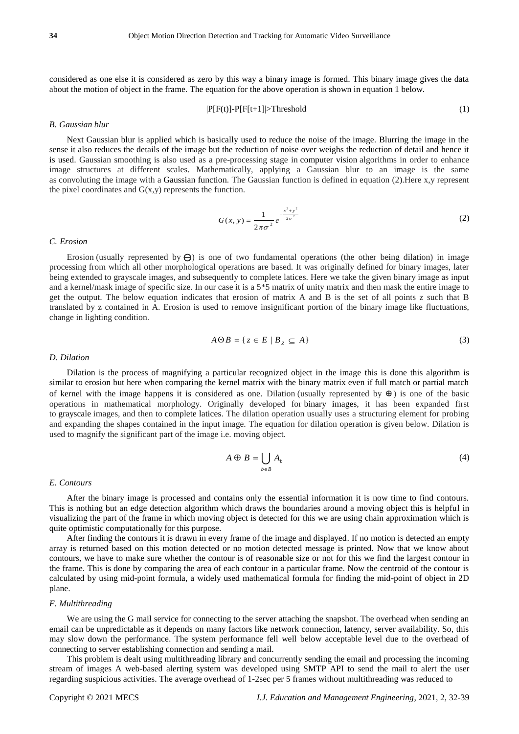considered as one else it is considered as zero by this way a binary image is formed. This binary image gives the data about the motion of object in the frame. The equation for the above operation is shown in equation 1 below.

$$
|P[F(t)]-P[F[t+1]|>Threshold
$$
 (1)

#### *B. Gaussian blur*

Next Gaussian blur is applied which is basically used to reduce the noise of the image. Blurring the image in the sense it also reduces the details of the image but the reduction of noise over weighs the reduction of detail and hence it is used. Gaussian smoothing is also used as a pre-processing stage in computer vision algorithms in order to enhance image structures at different scales. Mathematically, applying a Gaussian blur to an image is the same as convoluting the image with a Gaussian function. The Gaussian function is defined in equation (2).Here x,y represent the pixel coordinates and  $G(x,y)$  represents the function.

$$
G(x, y) = \frac{1}{2\pi\sigma^2} e^{-\frac{x^2 + y^2}{2\sigma^2}}
$$
 (2)

#### *C. Erosion*

Erosion (usually represented by  $\Theta$ ) is one of two fundamental operations (the other being dilation) in image processing from which all other morphological operations are based. It was originally defined for binary images, later being extended to grayscale images, and subsequently to complete latices. Here we take the given binary image as input and a kernel/mask image of specific size. In our case it is a  $5*5$  matrix of unity matrix and then mask the entire image to get the output. The below equation indicates that erosion of matrix A and B is the set of all points z such that B translated by z contained in A. Erosion is used to remove insignificant portion of the binary image like fluctuations, change in lighting condition.

$$
A \Theta B = \{ z \in E \mid B_z \subseteq A \}
$$
 (3)

#### *D. Dilation*

Dilation is the process of magnifying a particular recognized object in the image this is done this algorithm is similar to erosion but here when comparing the kernel matrix with the binary matrix even if full match or partial match of kernel with the image happens it is considered as one. Dilation (usually represented by  $\oplus$ ) is one of the basic operations in mathematical morphology. Originally developed for binary images, it has been expanded first to grayscale images, and then to complete latices. The dilation operation usually uses a structuring element for probing and expanding the shapes contained in the input image. The equation for dilation operation is given below. Dilation is used to magnify the significant part of the image i.e. moving object.

$$
A \oplus B = \bigcup_{b \in B} A_b \tag{4}
$$

#### *E. Contours*

After the binary image is processed and contains only the essential information it is now time to find contours. This is nothing but an edge detection algorithm which draws the boundaries around a moving object this is helpful in visualizing the part of the frame in which moving object is detected for this we are using chain approximation which is quite optimistic computationally for this purpose.

After finding the contours it is drawn in every frame of the image and displayed. If no motion is detected an empty array is returned based on this motion detected or no motion detected message is printed. Now that we know about contours, we have to make sure whether the contour is of reasonable size or not for this we find the largest contour in the frame. This is done by comparing the area of each contour in a particular frame. Now the centroid of the contour is calculated by using mid-point formula, a widely used mathematical formula for finding the mid-point of object in 2D plane.

#### *F. Multithreading*

We are using the G mail service for connecting to the server attaching the snapshot. The overhead when sending an email can be unpredictable as it depends on many factors like network connection, latency, server availability. So, this may slow down the performance. The system performance fell well below acceptable level due to the overhead of connecting to server establishing connection and sending a mail.

This problem is dealt using multithreading library and concurrently sending the email and processing the incoming stream of images A web-based alerting system was developed using SMTP API to send the mail to alert the user regarding suspicious activities. The average overhead of 1-2sec per 5 frames without multithreading was reduced to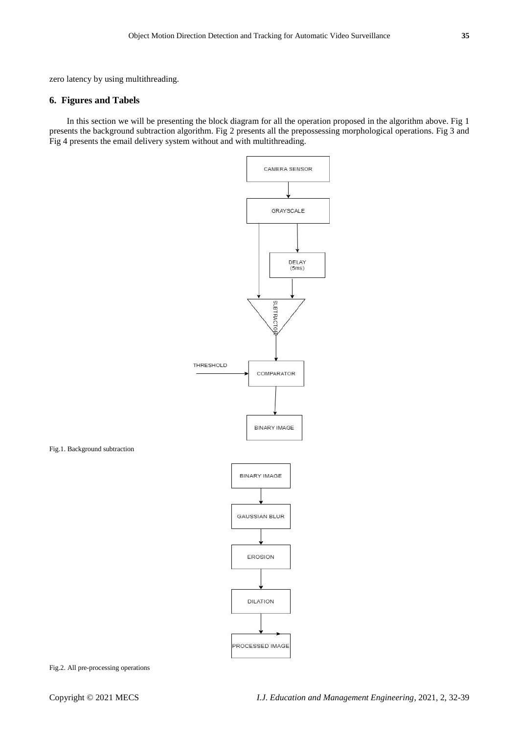zero latency by using multithreading.

# **6. Figures and Tabels**

In this section we will be presenting the block diagram for all the operation proposed in the algorithm above. Fig 1 presents the background subtraction algorithm. Fig 2 presents all the prepossessing morphological operations. Fig 3 and Fig 4 presents the email delivery system without and with multithreading.



Fig.2. All pre-processing operations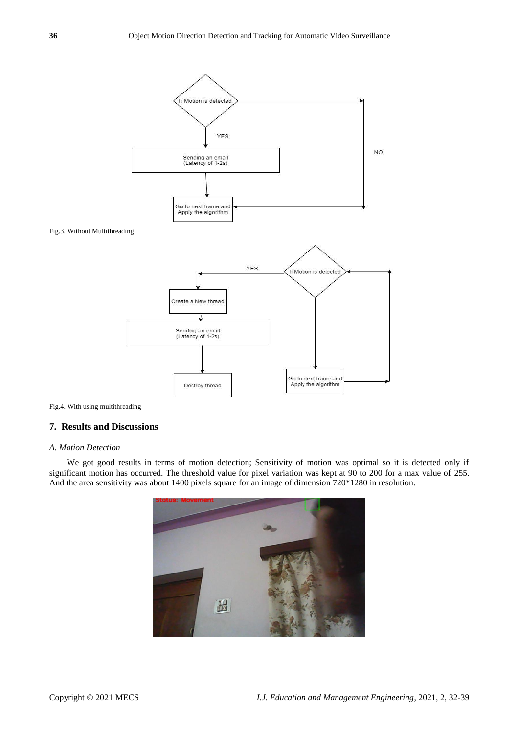

Fig.4. With using multithreading

# **7. Results and Discussions**

## *A. Motion Detection*

We got good results in terms of motion detection; Sensitivity of motion was optimal so it is detected only if significant motion has occurred. The threshold value for pixel variation was kept at 90 to 200 for a max value of 255. And the area sensitivity was about 1400 pixels square for an image of dimension 720\*1280 in resolution.

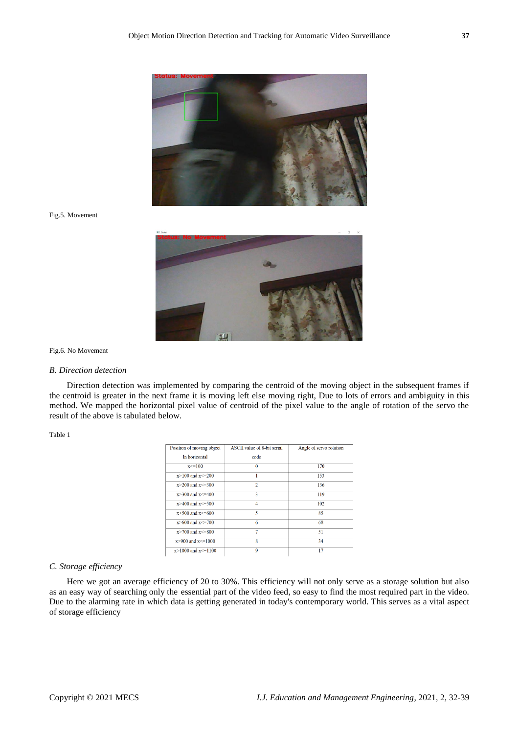

Fig.5. Movement



Fig.6. No Movement

## *B. Direction detection*

Direction detection was implemented by comparing the centroid of the moving object in the subsequent frames if the centroid is greater in the next frame it is moving left else moving right, Due to lots of errors and ambiguity in this method. We mapped the horizontal pixel value of centroid of the pixel value to the angle of rotation of the servo the result of the above is tabulated below.

Table 1

| Position of moving object  | ASCII value of 8-bit serial | Angle of servo rotation |  |
|----------------------------|-----------------------------|-------------------------|--|
| In horizontal              | code                        |                         |  |
| $x \le 100$                | $\bf{0}$                    | 170                     |  |
| $x>100$ and $x\leq 200$    | 1                           | 153                     |  |
| $x > 200$ and $x < = 300$  | $\overline{c}$              | 136                     |  |
| $x > 300$ and $x < = 400$  | 3                           | 119                     |  |
| $x > 400$ and $x < = 500$  | 4                           | 102<br>85               |  |
| $x > 500$ and $x \le 600$  | 5                           |                         |  |
| $x > 600$ and $x < = 700$  | 6                           | 68                      |  |
| $x > 700$ and $x < = 800$  | 7                           | 51                      |  |
| $x > 900$ and $x \le 1000$ | 8                           | 34                      |  |
| $x > 1000$ and $x < 1100$  | 9                           | 17                      |  |

# *C. Storage efficiency*

Here we got an average efficiency of 20 to 30%. This efficiency will not only serve as a storage solution but also as an easy way of searching only the essential part of the video feed, so easy to find the most required part in the video. Due to the alarming rate in which data is getting generated in today's contemporary world. This serves as a vital aspect of storage efficiency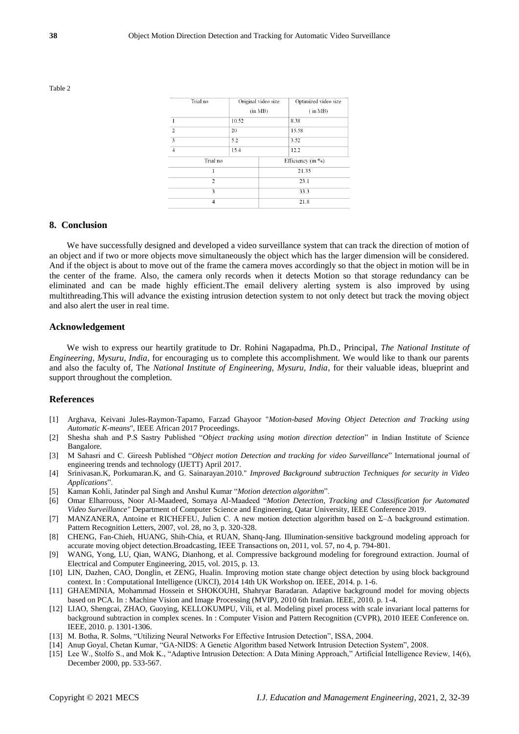| тты по         |       | <b>OTIGHET VIGCO SIZC</b> | Opunnzeu viueo size   |  |
|----------------|-------|---------------------------|-----------------------|--|
|                |       | (in MB)                   | (im MB)               |  |
| 1              | 10.52 |                           | 8.38                  |  |
| $\overline{c}$ | 20    |                           | 15.58                 |  |
| 3              | 5.2   |                           | 3.52                  |  |
| $\overline{4}$ | 15.4  |                           | 12.2                  |  |
| Trial no       |       |                           | Efficiency (in $\%$ ) |  |
| 1              |       |                           | 21.35                 |  |
| $\overline{c}$ |       | 23.1                      |                       |  |
| 3              |       |                           | 33.3                  |  |
| 4              |       | 21.8                      |                       |  |
|                |       |                           |                       |  |

 $0.44$  and  $0.44$  and  $0.44$ 

 $\overline{1}$  . On the first state of  $\overline{1}$ 

 $7.3.1.$ 

Table 2

#### **8. Conclusion**

We have successfully designed and developed a video surveillance system that can track the direction of motion of an object and if two or more objects move simultaneously the object which has the larger dimension will be considered. And if the object is about to move out of the frame the camera moves accordingly so that the object in motion will be in the center of the frame. Also, the camera only records when it detects Motion so that storage redundancy can be eliminated and can be made highly efficient.The email delivery alerting system is also improved by using multithreading.This will advance the existing intrusion detection system to not only detect but track the moving object and also alert the user in real time.

# **Acknowledgement**

We wish to express our heartily gratitude to Dr. Rohini Nagapadma, Ph.D., Principal, *The National Institute of Engineering, Mysuru, India*, for encouraging us to complete this accomplishment. We would like to thank our parents and also the faculty of, The *National Institute of Engineering, Mysuru, India*, for their valuable ideas, blueprint and support throughout the completion.

# **References**

- [1] Arghava, Keivani Jules-Raymon-Tapamo, Farzad Ghayoor "*Motion-based Moving Object Detection and Tracking using Automatic K-means*", IEEE African 2017 Proceedings.
- [2] Shesha shah and P.S Sastry Published "*Object tracking using motion direction detection*" in Indian Institute of Science Bangalore.
- [3] M Sahasri and C. Gireesh Published "*Object motion Detection and tracking for video Surveillance*" International journal of engineering trends and technology (IJETT) April 2017.
- [4] Srinivasan.K, Porkumaran.K, and G. Sainarayan.2010." *Improved Background subtraction Techniques for security in Video Applications*".
- [5] Kaman Kohli, Jatinder pal Singh and Anshul Kumar "*Motion detection algorithm*".
- [6] Omar Elharrouss, Noor Al-Maadeed, Somaya Al-Maadeed "*Motion Detection, Tracking and Classification for Automated Video Surveillance"* Department of Computer Science and Engineering, Qatar University, IEEE Conference 2019.
- [7] MANZANERA, Antoine et RICHEFEU, Julien C. A new motion detection algorithm based on Σ–Δ background estimation. Pattern Recognition Letters, 2007, vol. 28, no 3, p. 320-328.
- [8] CHENG, Fan-Chieh, HUANG, Shih-Chia, et RUAN, Shanq-Jang. Illumination-sensitive background modeling approach for accurate moving object detection.Broadcasting, IEEE Transactions on, 2011, vol. 57, no 4, p. 794-801.
- [9] WANG, Yong, LU, Qian, WANG, Dianhong, et al. Compressive background modeling for foreground extraction. Journal of Electrical and Computer Engineering, 2015, vol. 2015, p. 13.
- [10] LIN, Dazhen, CAO, Donglin, et ZENG, Hualin. Improving motion state change object detection by using block background context. In : Computational Intelligence (UKCI), 2014 14th UK Workshop on. IEEE, 2014. p. 1-6.
- [11] GHAEMINIA, Mohammad Hossein et SHOKOUHI, Shahryar Baradaran. Adaptive background model for moving objects based on PCA. In : Machine Vision and Image Processing (MVIP), 2010 6th Iranian. IEEE, 2010. p. 1-4.
- [12] LIAO, Shengcai, ZHAO, Guoying, KELLOKUMPU, Vili, et al. Modeling pixel process with scale invariant local patterns for background subtraction in complex scenes. In : Computer Vision and Pattern Recognition (CVPR), 2010 IEEE Conference on. IEEE, 2010. p. 1301-1306.
- [13] M. Botha, R. Solms, "Utilizing Neural Networks For Effective Intrusion Detection", ISSA, 2004.
- [14] Anup Goyal, Chetan Kumar, "GA-NIDS: A Genetic Algorithm based Network Intrusion Detection System", 2008.
- [15] Lee W., Stolfo S., and Mok K., "Adaptive Intrusion Detection: A Data Mining Approach," Artificial Intelligence Review, 14(6), December 2000, pp. 533-567.